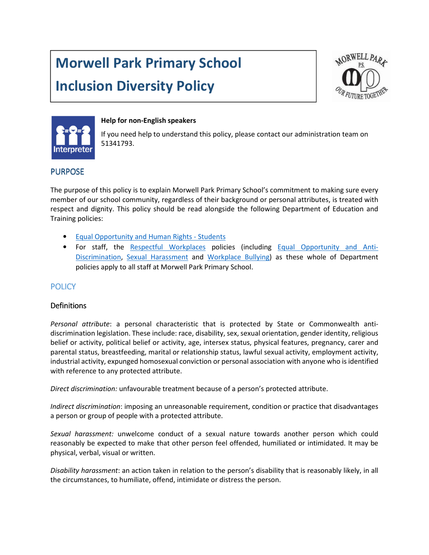# Morwell Park Primary School

# Inclusion Diversity Policy





#### Help for non-English speakers

If you need help to understand this policy, please contact our administration team on 51341793.

### PURPOSE

The purpose of this policy is to explain Morwell Park Primary School's commitment to making sure every member of our school community, regardless of their background or personal attributes, is treated with respect and dignity. This policy should be read alongside the following Department of Education and Training policies:

- Equal Opportunity and Human Rights Students
- For staff, the Respectful Workplaces policies (including Equal Opportunity and Anti-Discrimination, Sexual Harassment and Workplace Bullying) as these whole of Department policies apply to all staff at Morwell Park Primary School.

## **POLICY**

#### Definitions

Personal attribute: a personal characteristic that is protected by State or Commonwealth antidiscrimination legislation. These include: race, disability, sex, sexual orientation, gender identity, religious belief or activity, political belief or activity, age, intersex status, physical features, pregnancy, carer and parental status, breastfeeding, marital or relationship status, lawful sexual activity, employment activity, industrial activity, expunged homosexual conviction or personal association with anyone who is identified with reference to any protected attribute.

Direct discrimination: unfavourable treatment because of a person's protected attribute.

Indirect discrimination: imposing an unreasonable requirement, condition or practice that disadvantages a person or group of people with a protected attribute.

Sexual harassment: unwelcome conduct of a sexual nature towards another person which could reasonably be expected to make that other person feel offended, humiliated or intimidated. It may be physical, verbal, visual or written.

Disability harassment: an action taken in relation to the person's disability that is reasonably likely, in all the circumstances, to humiliate, offend, intimidate or distress the person.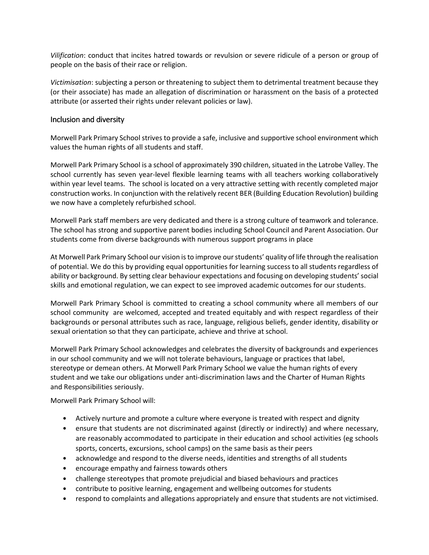Vilification: conduct that incites hatred towards or revulsion or severe ridicule of a person or group of people on the basis of their race or religion.

Victimisation: subjecting a person or threatening to subject them to detrimental treatment because they (or their associate) has made an allegation of discrimination or harassment on the basis of a protected attribute (or asserted their rights under relevant policies or law).

#### Inclusion and diversity

Morwell Park Primary School strives to provide a safe, inclusive and supportive school environment which values the human rights of all students and staff.

Morwell Park Primary School is a school of approximately 390 children, situated in the Latrobe Valley. The school currently has seven year-level flexible learning teams with all teachers working collaboratively within year level teams. The school is located on a very attractive setting with recently completed major construction works. In conjunction with the relatively recent BER (Building Education Revolution) building we now have a completely refurbished school.

Morwell Park staff members are very dedicated and there is a strong culture of teamwork and tolerance. The school has strong and supportive parent bodies including School Council and Parent Association. Our students come from diverse backgrounds with numerous support programs in place

At Morwell Park Primary School our vision is to improve our students' quality of life through the realisation of potential. We do this by providing equal opportunities for learning success to all students regardless of ability or background. By setting clear behaviour expectations and focusing on developing students' social skills and emotional regulation, we can expect to see improved academic outcomes for our students.

Morwell Park Primary School is committed to creating a school community where all members of our school community are welcomed, accepted and treated equitably and with respect regardless of their backgrounds or personal attributes such as race, language, religious beliefs, gender identity, disability or sexual orientation so that they can participate, achieve and thrive at school.

Morwell Park Primary School acknowledges and celebrates the diversity of backgrounds and experiences in our school community and we will not tolerate behaviours, language or practices that label, stereotype or demean others. At Morwell Park Primary School we value the human rights of every student and we take our obligations under anti-discrimination laws and the Charter of Human Rights and Responsibilities seriously.

Morwell Park Primary School will:

- Actively nurture and promote a culture where everyone is treated with respect and dignity
- ensure that students are not discriminated against (directly or indirectly) and where necessary, are reasonably accommodated to participate in their education and school activities (eg schools sports, concerts, excursions, school camps) on the same basis as their peers
- acknowledge and respond to the diverse needs, identities and strengths of all students
- encourage empathy and fairness towards others
- challenge stereotypes that promote prejudicial and biased behaviours and practices
- contribute to positive learning, engagement and wellbeing outcomes for students
- respond to complaints and allegations appropriately and ensure that students are not victimised.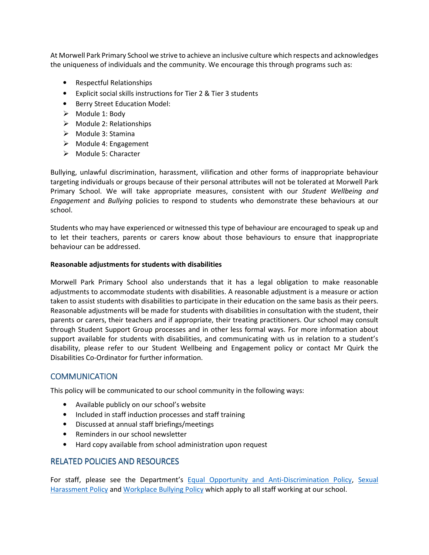At Morwell Park Primary School we strive to achieve an inclusive culture which respects and acknowledges the uniqueness of individuals and the community. We encourage this through programs such as:

- Respectful Relationships
- Explicit social skills instructions for Tier 2 & Tier 3 students
- Berry Street Education Model:
- $\triangleright$  Module 1: Body
- $\triangleright$  Module 2: Relationships
- Module 3: Stamina
- $\triangleright$  Module 4: Engagement
- $\triangleright$  Module 5: Character

Bullying, unlawful discrimination, harassment, vilification and other forms of inappropriate behaviour targeting individuals or groups because of their personal attributes will not be tolerated at Morwell Park Primary School. We will take appropriate measures, consistent with our Student Wellbeing and Engagement and Bullying policies to respond to students who demonstrate these behaviours at our school.

Students who may have experienced or witnessed this type of behaviour are encouraged to speak up and to let their teachers, parents or carers know about those behaviours to ensure that inappropriate behaviour can be addressed.

#### Reasonable adjustments for students with disabilities

Morwell Park Primary School also understands that it has a legal obligation to make reasonable adjustments to accommodate students with disabilities. A reasonable adjustment is a measure or action taken to assist students with disabilities to participate in their education on the same basis as their peers. Reasonable adjustments will be made for students with disabilities in consultation with the student, their parents or carers, their teachers and if appropriate, their treating practitioners. Our school may consult through Student Support Group processes and in other less formal ways. For more information about support available for students with disabilities, and communicating with us in relation to a student's disability, please refer to our Student Wellbeing and Engagement policy or contact Mr Quirk the Disabilities Co-Ordinator for further information.

#### **COMMUNICATION**

This policy will be communicated to our school community in the following ways:

- Available publicly on our school's website
- Included in staff induction processes and staff training
- Discussed at annual staff briefings/meetings
- Reminders in our school newsletter
- Hard copy available from school administration upon request

#### RELATED POLICIES AND RESOURCES

For staff, please see the Department's Equal Opportunity and Anti-Discrimination Policy, Sexual Harassment Policy and Workplace Bullying Policy which apply to all staff working at our school.